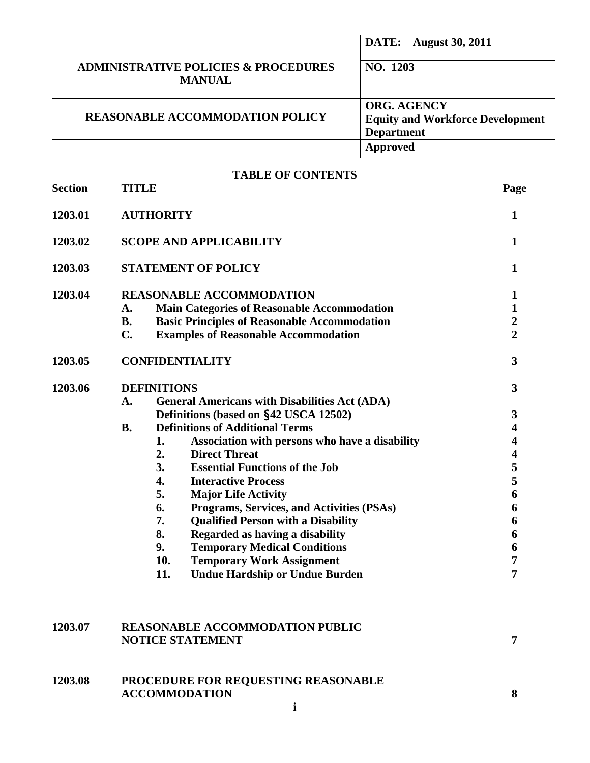|                                                                  | <b>DATE:</b> August 30, 2011            |
|------------------------------------------------------------------|-----------------------------------------|
| <b>ADMINISTRATIVE POLICIES &amp; PROCEDURES</b><br><b>MANUAL</b> | NO. 1203                                |
|                                                                  |                                         |
|                                                                  | <b>ORG. AGENCY</b>                      |
| <b>REASONABLE ACCOMMODATION POLICY</b>                           | <b>Equity and Workforce Development</b> |
|                                                                  | <b>Department</b>                       |
|                                                                  | Approved                                |

| <b>Section</b> |                |                                                      |                         |
|----------------|----------------|------------------------------------------------------|-------------------------|
|                | <b>TITLE</b>   |                                                      | Page                    |
| 1203.01        |                | <b>AUTHORITY</b>                                     | 1                       |
| 1203.02        |                | <b>SCOPE AND APPLICABILITY</b>                       | $\mathbf{1}$            |
| 1203.03        |                | <b>STATEMENT OF POLICY</b>                           | $\mathbf{1}$            |
| 1203.04        |                | <b>REASONABLE ACCOMMODATION</b>                      | $\mathbf{1}$            |
|                | A.             | <b>Main Categories of Reasonable Accommodation</b>   | $\mathbf{1}$            |
|                | <b>B.</b>      | <b>Basic Principles of Reasonable Accommodation</b>  | $\boldsymbol{2}$        |
|                | $\mathbf{C}$ . | <b>Examples of Reasonable Accommodation</b>          | $\overline{2}$          |
| 1203.05        |                | <b>CONFIDENTIALITY</b>                               | 3                       |
| 1203.06        |                | <b>DEFINITIONS</b>                                   | 3                       |
|                | A.             | <b>General Americans with Disabilities Act (ADA)</b> |                         |
|                |                | Definitions (based on §42 USCA 12502)                | $\mathbf{3}$            |
|                | <b>B.</b>      | <b>Definitions of Additional Terms</b>               | 4                       |
|                |                | 1.<br>Association with persons who have a disability | 4                       |
|                |                | 2.<br><b>Direct Threat</b>                           | $\overline{\mathbf{4}}$ |
|                |                | 3.<br><b>Essential Functions of the Job</b>          | 5                       |
|                |                | 4.<br><b>Interactive Process</b>                     | 5                       |
|                |                | 5.<br><b>Major Life Activity</b>                     | 6                       |
|                |                | Programs, Services, and Activities (PSAs)<br>6.      | 6                       |
|                |                | 7.<br><b>Qualified Person with a Disability</b>      | 6                       |
|                |                | 8.<br>Regarded as having a disability                | 6                       |
|                |                | 9.<br><b>Temporary Medical Conditions</b>            | 6                       |
|                |                | 10.<br><b>Temporary Work Assignment</b>              | 7                       |
|                |                | <b>Undue Hardship or Undue Burden</b><br>11.         | 7                       |
|                |                |                                                      |                         |

| 1203.07 | <b>REASONABLE ACCOMMODATION PUBLIC</b><br><b>NOTICE STATEMENT</b>  |  |
|---------|--------------------------------------------------------------------|--|
| 1203.08 | <b>PROCEDURE FOR REQUESTING REASONABLE</b><br><b>ACCOMMODATION</b> |  |
|         |                                                                    |  |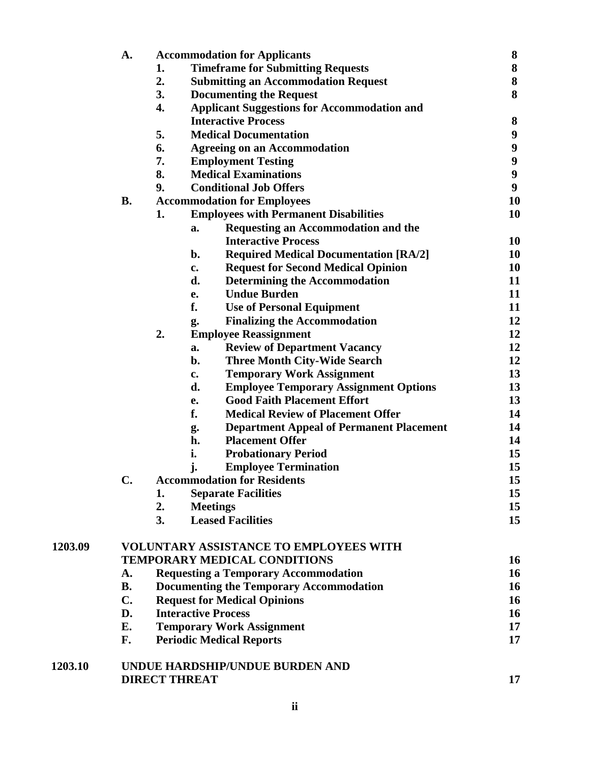|         | A.             |    | <b>Accommodation for Applicants</b>                   | 8                |
|---------|----------------|----|-------------------------------------------------------|------------------|
|         |                | 1. | <b>Timeframe for Submitting Requests</b>              | ${\bf 8}$        |
|         |                | 2. | <b>Submitting an Accommodation Request</b>            | ${\bf 8}$        |
|         |                | 3. | <b>Documenting the Request</b>                        | 8                |
|         |                | 4. | <b>Applicant Suggestions for Accommodation and</b>    |                  |
|         |                |    | <b>Interactive Process</b>                            | $\bf{8}$         |
|         |                | 5. | <b>Medical Documentation</b>                          | $\boldsymbol{9}$ |
|         |                | 6. | <b>Agreeing on an Accommodation</b>                   | $\boldsymbol{9}$ |
|         |                | 7. | <b>Employment Testing</b>                             | $\boldsymbol{9}$ |
|         |                | 8. | <b>Medical Examinations</b>                           | $\boldsymbol{9}$ |
|         |                | 9. | <b>Conditional Job Offers</b>                         | $\boldsymbol{9}$ |
|         | <b>B.</b>      |    | <b>Accommodation for Employees</b>                    | 10               |
|         |                | 1. | <b>Employees with Permanent Disabilities</b>          | 10               |
|         |                |    | <b>Requesting an Accommodation and the</b><br>a.      |                  |
|         |                |    | <b>Interactive Process</b>                            | 10               |
|         |                |    | <b>Required Medical Documentation [RA/2]</b><br>b.    | 10               |
|         |                |    | <b>Request for Second Medical Opinion</b><br>c.       | 10               |
|         |                |    | d.<br><b>Determining the Accommodation</b>            | 11               |
|         |                |    | <b>Undue Burden</b><br>e.                             | 11               |
|         |                |    | f.<br><b>Use of Personal Equipment</b>                | 11               |
|         |                |    | <b>Finalizing the Accommodation</b><br>g.             | 12               |
|         |                | 2. | <b>Employee Reassignment</b>                          | 12               |
|         |                |    | <b>Review of Department Vacancy</b><br>a.             | 12               |
|         |                |    | <b>Three Month City-Wide Search</b><br>b.             | 12               |
|         |                |    | <b>Temporary Work Assignment</b><br>c.                | 13               |
|         |                |    | d.<br><b>Employee Temporary Assignment Options</b>    | 13               |
|         |                |    | <b>Good Faith Placement Effort</b><br>e.              | 13               |
|         |                |    | f.<br><b>Medical Review of Placement Offer</b>        | 14               |
|         |                |    | <b>Department Appeal of Permanent Placement</b><br>g. | 14               |
|         |                |    | <b>Placement Offer</b><br>h.                          | 14               |
|         |                |    | i.<br><b>Probationary Period</b>                      | 15               |
|         |                |    | j.<br><b>Employee Termination</b>                     | 15               |
|         | $\mathbf C$    |    | <b>Accommodation for Residents</b>                    | 15               |
|         |                | 1. | <b>Separate Facilities</b>                            | 15               |
|         |                | 2. | <b>Meetings</b>                                       | 15               |
|         |                | 3. | <b>Leased Facilities</b>                              | 15               |
| 1203.09 |                |    | <b>VOLUNTARY ASSISTANCE TO EMPLOYEES WITH</b>         |                  |
|         |                |    | <b>TEMPORARY MEDICAL CONDITIONS</b>                   | 16               |
|         | A.             |    | <b>Requesting a Temporary Accommodation</b>           | 16               |
|         | <b>B.</b>      |    | <b>Documenting the Temporary Accommodation</b>        | 16               |
|         | $\mathbf{C}$ . |    | <b>Request for Medical Opinions</b>                   | 16               |
|         | D.             |    | <b>Interactive Process</b>                            | 16               |
|         | E.             |    | <b>Temporary Work Assignment</b>                      | 17               |
|         | F.             |    | <b>Periodic Medical Reports</b>                       | 17               |
| 1203.10 |                |    | UNDUE HARDSHIP/UNDUE BURDEN AND                       |                  |
|         |                |    | <b>DIRECT THREAT</b>                                  | 17               |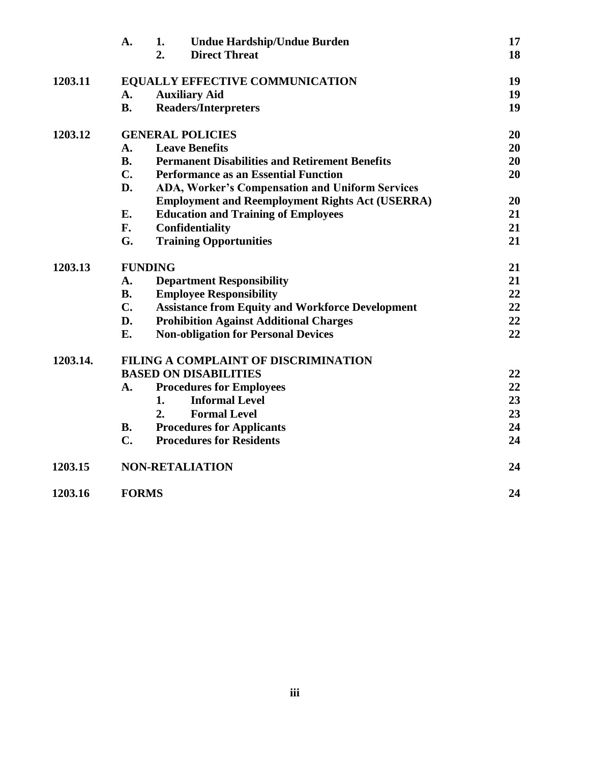|          | A.            | 1.<br><b>Undue Hardship/Undue Burden</b>                | 17 |
|----------|---------------|---------------------------------------------------------|----|
|          |               | <b>Direct Threat</b><br>2.                              | 18 |
| 1203.11  |               | <b>EQUALLY EFFECTIVE COMMUNICATION</b>                  | 19 |
|          | A.            | <b>Auxiliary Aid</b>                                    | 19 |
|          | <b>B.</b>     | <b>Readers/Interpreters</b>                             | 19 |
| 1203.12  |               | <b>GENERAL POLICIES</b>                                 | 20 |
|          | A.            | <b>Leave Benefits</b>                                   | 20 |
|          | <b>B.</b>     | <b>Permanent Disabilities and Retirement Benefits</b>   | 20 |
|          | $C_{\bullet}$ | <b>Performance as an Essential Function</b>             | 20 |
|          | D.            | <b>ADA, Worker's Compensation and Uniform Services</b>  |    |
|          |               | <b>Employment and Reemployment Rights Act (USERRA)</b>  | 20 |
|          | E.            | <b>Education and Training of Employees</b>              | 21 |
|          | F.            | Confidentiality                                         | 21 |
|          | G.            | <b>Training Opportunities</b>                           | 21 |
| 1203.13  |               | <b>FUNDING</b>                                          | 21 |
|          | A.            | <b>Department Responsibility</b>                        | 21 |
|          | <b>B.</b>     | <b>Employee Responsibility</b>                          | 22 |
|          | $C_{\bullet}$ | <b>Assistance from Equity and Workforce Development</b> | 22 |
|          | D.            | <b>Prohibition Against Additional Charges</b>           | 22 |
|          | E.            | <b>Non-obligation for Personal Devices</b>              | 22 |
| 1203.14. |               | FILING A COMPLAINT OF DISCRIMINATION                    |    |
|          |               | <b>BASED ON DISABILITIES</b>                            | 22 |
|          | A.            | <b>Procedures for Employees</b>                         | 22 |
|          |               | 1.<br><b>Informal Level</b>                             | 23 |
|          |               | <b>Formal Level</b><br>2.                               | 23 |
|          | <b>B.</b>     | <b>Procedures for Applicants</b>                        | 24 |
|          | C.            | <b>Procedures for Residents</b>                         | 24 |
| 1203.15  |               | <b>NON-RETALIATION</b>                                  | 24 |
| 1203.16  | <b>FORMS</b>  |                                                         | 24 |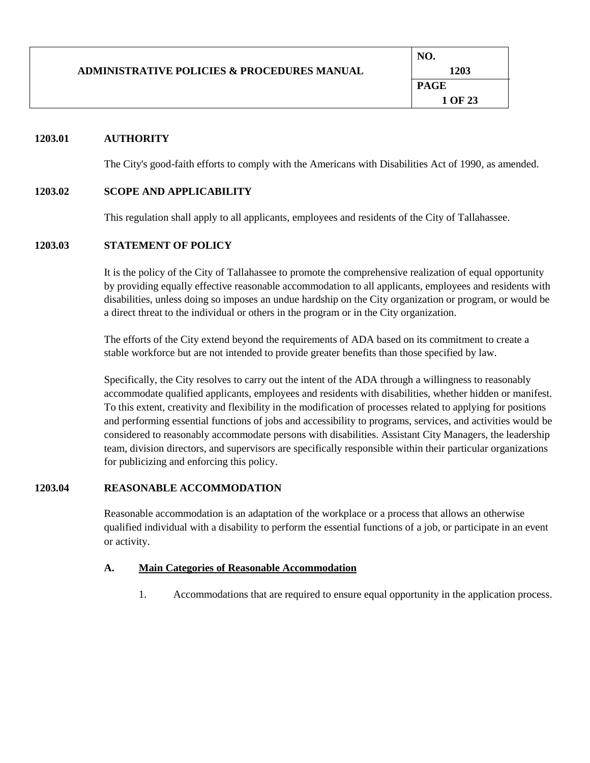|                                                        | NO.     |
|--------------------------------------------------------|---------|
| <b>ADMINISTRATIVE POLICIES &amp; PROCEDURES MANUAL</b> | 1203    |
|                                                        | PAGE    |
|                                                        | 1 OF 23 |

### **1203.01 AUTHORITY**

The City's good-faith efforts to comply with the Americans with Disabilities Act of 1990, as amended.

#### **1203.02 SCOPE AND APPLICABILITY**

This regulation shall apply to all applicants, employees and residents of the City of Tallahassee.

#### **1203.03 STATEMENT OF POLICY**

It is the policy of the City of Tallahassee to promote the comprehensive realization of equal opportunity by providing equally effective reasonable accommodation to all applicants, employees and residents with disabilities, unless doing so imposes an undue hardship on the City organization or program, or would be a direct threat to the individual or others in the program or in the City organization.

The efforts of the City extend beyond the requirements of ADA based on its commitment to create a stable workforce but are not intended to provide greater benefits than those specified by law.

Specifically, the City resolves to carry out the intent of the ADA through a willingness to reasonably accommodate qualified applicants, employees and residents with disabilities, whether hidden or manifest. To this extent, creativity and flexibility in the modification of processes related to applying for positions and performing essential functions of jobs and accessibility to programs, services, and activities would be considered to reasonably accommodate persons with disabilities. Assistant City Managers, the leadership team, division directors, and supervisors are specifically responsible within their particular organizations for publicizing and enforcing this policy.

### **1203.04 REASONABLE ACCOMMODATION**

Reasonable accommodation is an adaptation of the workplace or a process that allows an otherwise qualified individual with a disability to perform the essential functions of a job, or participate in an event or activity.

#### **A. Main Categories of Reasonable Accommodation**

1. Accommodations that are required to ensure equal opportunity in the application process.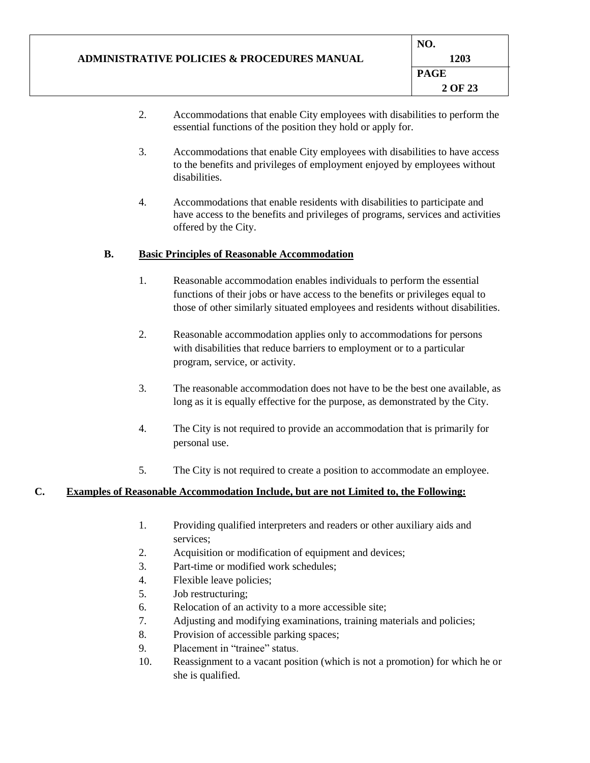|                                                        | NO.         |
|--------------------------------------------------------|-------------|
| <b>ADMINISTRATIVE POLICIES &amp; PROCEDURES MANUAL</b> | 1203        |
|                                                        | <b>PAGE</b> |
|                                                        | 2 OF 23     |
|                                                        |             |

- 2. Accommodations that enable City employees with disabilities to perform the essential functions of the position they hold or apply for.
- 3. Accommodations that enable City employees with disabilities to have access to the benefits and privileges of employment enjoyed by employees without disabilities.
- 4. Accommodations that enable residents with disabilities to participate and have access to the benefits and privileges of programs, services and activities offered by the City.

### **B. Basic Principles of Reasonable Accommodation**

- 1. Reasonable accommodation enables individuals to perform the essential functions of their jobs or have access to the benefits or privileges equal to those of other similarly situated employees and residents without disabilities.
- 2. Reasonable accommodation applies only to accommodations for persons with disabilities that reduce barriers to employment or to a particular program, service, or activity.
- 3. The reasonable accommodation does not have to be the best one available, as long as it is equally effective for the purpose, as demonstrated by the City.
- 4. The City is not required to provide an accommodation that is primarily for personal use.
- 5. The City is not required to create a position to accommodate an employee.

#### **C. Examples of Reasonable Accommodation Include, but are not Limited to, the Following:**

- 1. Providing qualified interpreters and readers or other auxiliary aids and services;
- 2. Acquisition or modification of equipment and devices;
- 3. Part-time or modified work schedules;
- 4. Flexible leave policies;
- 5. Job restructuring;
- 6. Relocation of an activity to a more accessible site;
- 7. Adjusting and modifying examinations, training materials and policies;
- 8. Provision of accessible parking spaces;
- 9. Placement in "trainee" status.
- 10. Reassignment to a vacant position (which is not a promotion) for which he or she is qualified.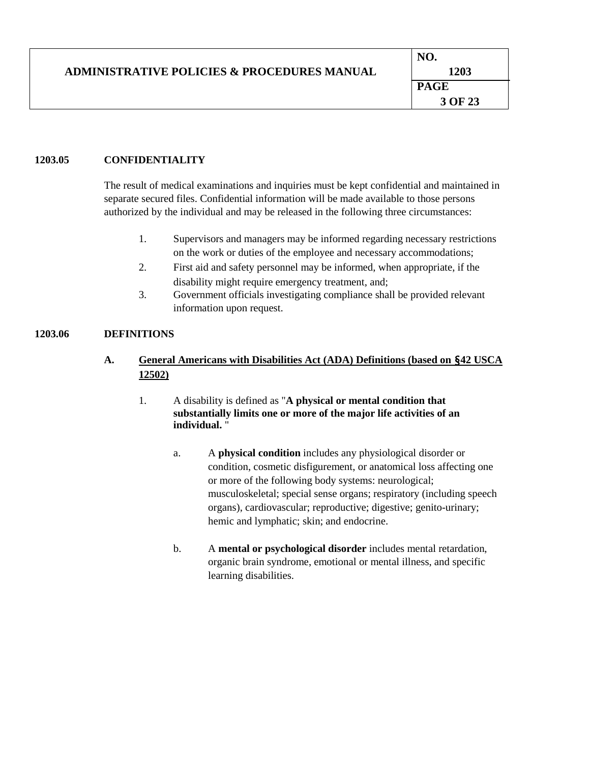|                                                        | NO.         |
|--------------------------------------------------------|-------------|
| <b>ADMINISTRATIVE POLICIES &amp; PROCEDURES MANUAL</b> | 1203        |
|                                                        | <b>PAGE</b> |
|                                                        | 3 OF 23     |
|                                                        |             |

### **1203.05 CONFIDENTIALITY**

The result of medical examinations and inquiries must be kept confidential and maintained in separate secured files. Confidential information will be made available to those persons authorized by the individual and may be released in the following three circumstances:

- 1. Supervisors and managers may be informed regarding necessary restrictions on the work or duties of the employee and necessary accommodations;
- 2. First aid and safety personnel may be informed, when appropriate, if the disability might require emergency treatment, and;
- 3. Government officials investigating compliance shall be provided relevant information upon request.

### **1203.06 DEFINITIONS**

# **A. General Americans with Disabilities Act (ADA) Definitions (based on** §**42 USCA 12502)**

### 1. A disability is defined as "**A physical or mental condition that substantially limits one or more of the major life activities of an individual.** "

- a. A **physical condition** includes any physiological disorder or condition, cosmetic disfigurement, or anatomical loss affecting one or more of the following body systems: neurological; musculoskeletal; special sense organs; respiratory (including speech organs), cardiovascular; reproductive; digestive; genito-urinary; hemic and lymphatic; skin; and endocrine.
- b. A **mental or psychological disorder** includes mental retardation, organic brain syndrome, emotional or mental illness, and specific learning disabilities.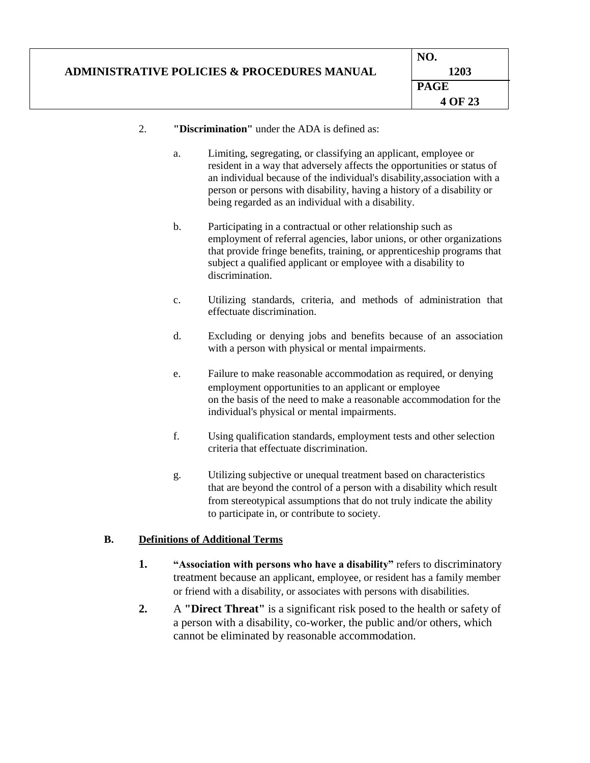|                                                        | NO.         |
|--------------------------------------------------------|-------------|
| <b>ADMINISTRATIVE POLICIES &amp; PROCEDURES MANUAL</b> | 1203        |
|                                                        | <b>PAGE</b> |
|                                                        | 4 OF 23     |
|                                                        |             |

### 2. **"Discrimination"** under the ADA is defined as:

- a. Limiting, segregating, or classifying an applicant, employee or resident in a way that adversely affects the opportunities or status of an individual because of the individual's disability,association with a person or persons with disability, having a history of a disability or being regarded as an individual with a disability.
- b. Participating in a contractual or other relationship such as employment of referral agencies, labor unions, or other organizations that provide fringe benefits, training, or apprenticeship programs that subject a qualified applicant or employee with a disability to discrimination.
- c. Utilizing standards, criteria, and methods of administration that effectuate discrimination.
- d. Excluding or denying jobs and benefits because of an association with a person with physical or mental impairments.
- e. Failure to make reasonable accommodation as required, or denying employment opportunities to an applicant or employee on the basis of the need to make a reasonable accommodation for the individual's physical or mental impairments.
- f. Using qualification standards, employment tests and other selection criteria that effectuate discrimination.
- g. Utilizing subjective or unequal treatment based on characteristics that are beyond the control of a person with a disability which result from stereotypical assumptions that do not truly indicate the ability to participate in, or contribute to society.

### **B. Definitions of Additional Terms**

- **1. "Association with persons who have a disability"** refers to discriminatory treatment because an applicant, employee, or resident has a family member or friend with a disability, or associates with persons with disabilities.
- **2.** A **"Direct Threat"** is a significant risk posed to the health or safety of a person with a disability, co-worker, the public and/or others, which cannot be eliminated by reasonable accommodation.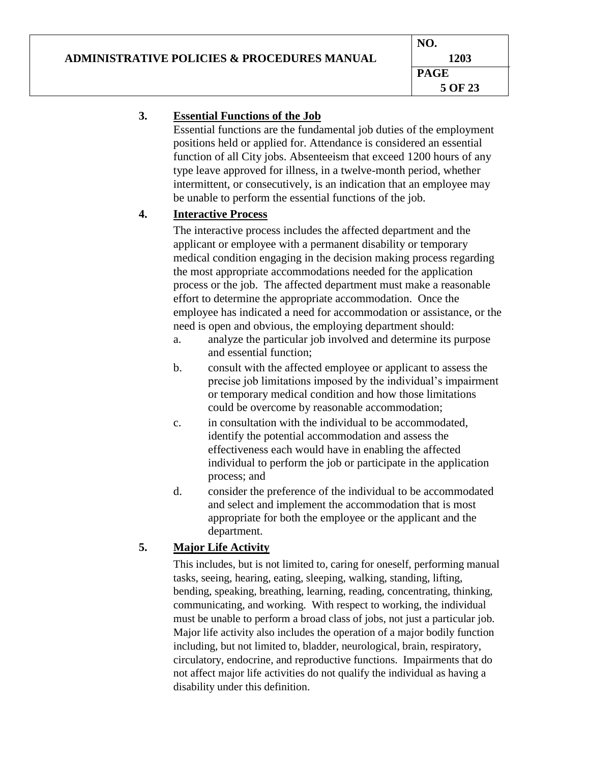# **ADMINISTRATIVE POLICIES & PROCEDURES MANUAL**

# **3. Essential Functions of the Job**

Essential functions are the fundamental job duties of the employment positions held or applied for. Attendance is considered an essential function of all City jobs. Absenteeism that exceed 1200 hours of any type leave approved for illness, in a twelve-month period, whether intermittent, or consecutively, is an indication that an employee may be unable to perform the essential functions of the job.

# **4. Interactive Process**

The interactive process includes the affected department and the applicant or employee with a permanent disability or temporary medical condition engaging in the decision making process regarding the most appropriate accommodations needed for the application process or the job. The affected department must make a reasonable effort to determine the appropriate accommodation. Once the employee has indicated a need for accommodation or assistance, or the need is open and obvious, the employing department should:

- a. analyze the particular job involved and determine its purpose and essential function;
- b. consult with the affected employee or applicant to assess the precise job limitations imposed by the individual's impairment or temporary medical condition and how those limitations could be overcome by reasonable accommodation;
- c. in consultation with the individual to be accommodated, identify the potential accommodation and assess the effectiveness each would have in enabling the affected individual to perform the job or participate in the application process; and
- d. consider the preference of the individual to be accommodated and select and implement the accommodation that is most appropriate for both the employee or the applicant and the department.

# **5. Major Life Activity**

This includes, but is not limited to, caring for oneself, performing manual tasks, seeing, hearing, eating, sleeping, walking, standing, lifting, bending, speaking, breathing, learning, reading, concentrating, thinking, communicating, and working. With respect to working, the individual must be unable to perform a broad class of jobs, not just a particular job. Major life activity also includes the operation of a major bodily function including, but not limited to, bladder, neurological, brain, respiratory, circulatory, endocrine, and reproductive functions. Impairments that do not affect major life activities do not qualify the individual as having a disability under this definition.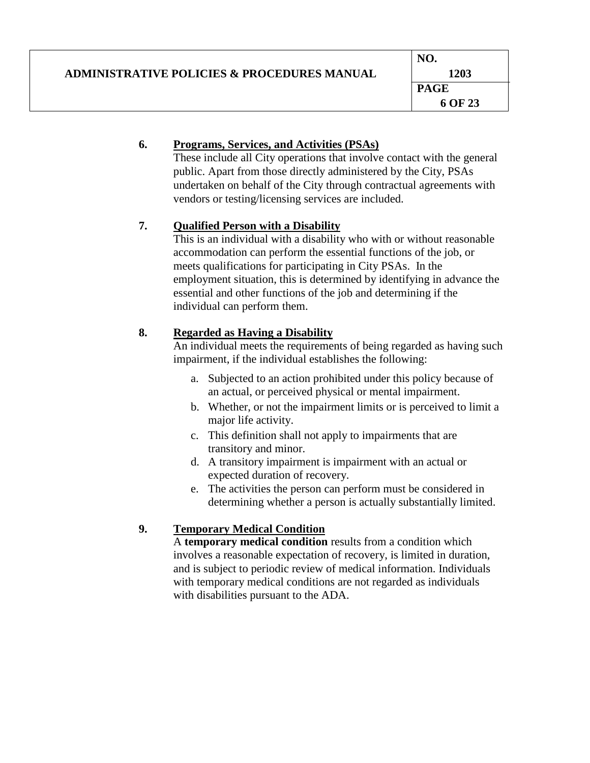|                                                        | NO.         |
|--------------------------------------------------------|-------------|
| <b>ADMINISTRATIVE POLICIES &amp; PROCEDURES MANUAL</b> | 1203        |
|                                                        | <b>PAGE</b> |
|                                                        | 6 OF 23     |

### **6. Programs, Services, and Activities (PSAs)**

These include all City operations that involve contact with the general public. Apart from those directly administered by the City, PSAs undertaken on behalf of the City through contractual agreements with vendors or testing/licensing services are included.

## **7. Qualified Person with a Disability**

This is an individual with a disability who with or without reasonable accommodation can perform the essential functions of the job, or meets qualifications for participating in City PSAs. In the employment situation, this is determined by identifying in advance the essential and other functions of the job and determining if the individual can perform them.

## **8. Regarded as Having a Disability**

An individual meets the requirements of being regarded as having such impairment, if the individual establishes the following:

- a. Subjected to an action prohibited under this policy because of an actual, or perceived physical or mental impairment.
- b. Whether, or not the impairment limits or is perceived to limit a major life activity.
- c. This definition shall not apply to impairments that are transitory and minor.
- d. A transitory impairment is impairment with an actual or expected duration of recovery.
- e. The activities the person can perform must be considered in determining whether a person is actually substantially limited.

## **9. Temporary Medical Condition**

A **temporary medical condition** results from a condition which involves a reasonable expectation of recovery, is limited in duration, and is subject to periodic review of medical information. Individuals with temporary medical conditions are not regarded as individuals with disabilities pursuant to the ADA.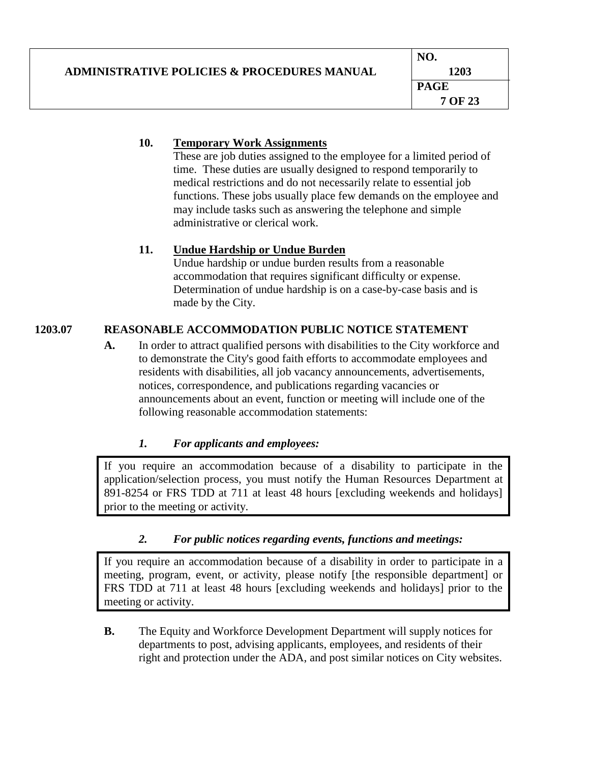|                                                        | NO.         |
|--------------------------------------------------------|-------------|
| <b>ADMINISTRATIVE POLICIES &amp; PROCEDURES MANUAL</b> | 1203        |
|                                                        | <b>PAGE</b> |
|                                                        | 7 OF 23     |

# **10. Temporary Work Assignments**

These are job duties assigned to the employee for a limited period of time. These duties are usually designed to respond temporarily to medical restrictions and do not necessarily relate to essential job functions. These jobs usually place few demands on the employee and may include tasks such as answering the telephone and simple administrative or clerical work.

# **11. Undue Hardship or Undue Burden**

Undue hardship or undue burden results from a reasonable accommodation that requires significant difficulty or expense. Determination of undue hardship is on a case-by-case basis and is made by the City.

# **1203.07 REASONABLE ACCOMMODATION PUBLIC NOTICE STATEMENT**

**A.** In order to attract qualified persons with disabilities to the City workforce and to demonstrate the City's good faith efforts to accommodate employees and residents with disabilities, all job vacancy announcements, advertisements, notices, correspondence, and publications regarding vacancies or announcements about an event, function or meeting will include one of the following reasonable accommodation statements:

# *1. For applicants and employees:*

If you require an accommodation because of a disability to participate in the application/selection process, you must notify the Human Resources Department at 891-8254 or FRS TDD at 711 at least 48 hours [excluding weekends and holidays] prior to the meeting or activity.

# *2. For public notices regarding events, functions and meetings:*

If you require an accommodation because of a disability in order to participate in a meeting, program, event, or activity, please notify [the responsible department] or FRS TDD at 711 at least 48 hours [excluding weekends and holidays] prior to the meeting or activity.

**B.** The Equity and Workforce Development Department will supply notices for departments to post, advising applicants, employees, and residents of their right and protection under the ADA, and post similar notices on City websites.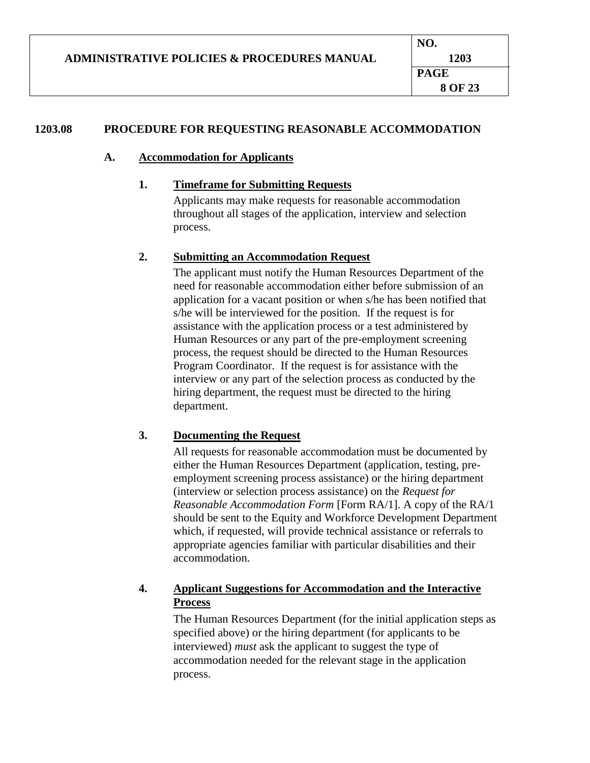# **1203.08 PROCEDURE FOR REQUESTING REASONABLE ACCOMMODATION**

### **A. Accommodation for Applicants**

### **1. Timeframe for Submitting Requests**

Applicants may make requests for reasonable accommodation throughout all stages of the application, interview and selection process.

### **2. Submitting an Accommodation Request**

The applicant must notify the Human Resources Department of the need for reasonable accommodation either before submission of an application for a vacant position or when s/he has been notified that s/he will be interviewed for the position. If the request is for assistance with the application process or a test administered by Human Resources or any part of the pre-employment screening process, the request should be directed to the Human Resources Program Coordinator. If the request is for assistance with the interview or any part of the selection process as conducted by the hiring department, the request must be directed to the hiring department.

## **3. Documenting the Request**

All requests for reasonable accommodation must be documented by either the Human Resources Department (application, testing, preemployment screening process assistance) or the hiring department (interview or selection process assistance) on the *Request for Reasonable Accommodation Form* [Form RA/1]. A copy of the RA/1 should be sent to the Equity and Workforce Development Department which, if requested, will provide technical assistance or referrals to appropriate agencies familiar with particular disabilities and their accommodation.

# **4. Applicant Suggestions for Accommodation and the Interactive Process**

The Human Resources Department (for the initial application steps as specified above) or the hiring department (for applicants to be interviewed) *must* ask the applicant to suggest the type of accommodation needed for the relevant stage in the application process.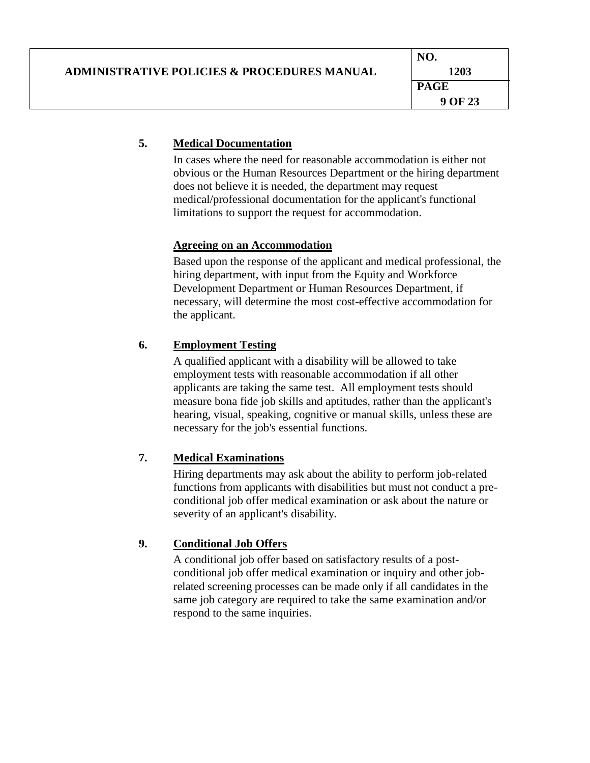|                                                        | NO.         |
|--------------------------------------------------------|-------------|
| <b>ADMINISTRATIVE POLICIES &amp; PROCEDURES MANUAL</b> | 1203        |
|                                                        | <b>PAGE</b> |
|                                                        | 9 OF 23     |

### **5. Medical Documentation**

In cases where the need for reasonable accommodation is either not obvious or the Human Resources Department or the hiring department does not believe it is needed, the department may request medical/professional documentation for the applicant's functional limitations to support the request for accommodation.

### **Agreeing on an Accommodation**

Based upon the response of the applicant and medical professional, the hiring department, with input from the Equity and Workforce Development Department or Human Resources Department, if necessary, will determine the most cost-effective accommodation for the applicant.

# **6. Employment Testing**

A qualified applicant with a disability will be allowed to take employment tests with reasonable accommodation if all other applicants are taking the same test. All employment tests should measure bona fide job skills and aptitudes, rather than the applicant's hearing, visual, speaking, cognitive or manual skills, unless these are necessary for the job's essential functions.

## **7. Medical Examinations**

Hiring departments may ask about the ability to perform job-related functions from applicants with disabilities but must not conduct a preconditional job offer medical examination or ask about the nature or severity of an applicant's disability.

## **9. Conditional Job Offers**

A conditional job offer based on satisfactory results of a postconditional job offer medical examination or inquiry and other jobrelated screening processes can be made only if all candidates in the same job category are required to take the same examination and/or respond to the same inquiries.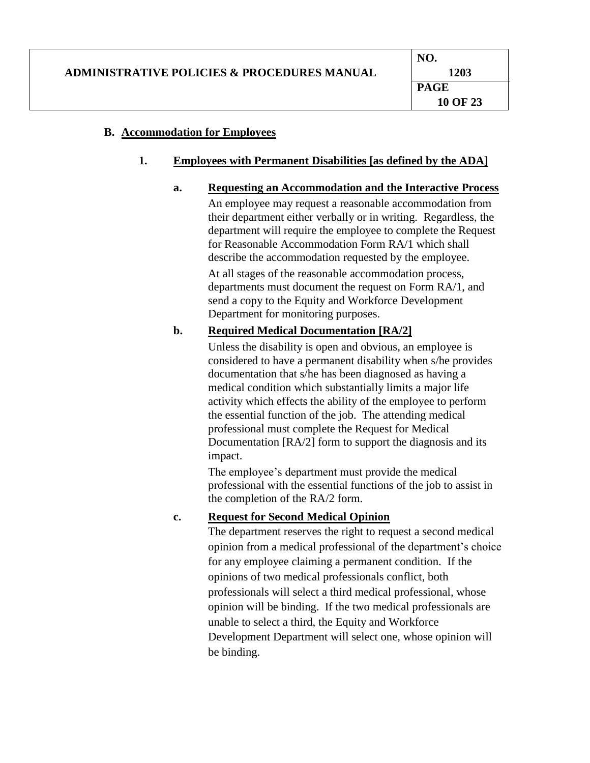### **B. Accommodation for Employees**

### **1. Employees with Permanent Disabilities [as defined by the ADA]**

### **a. Requesting an Accommodation and the Interactive Process**

An employee may request a reasonable accommodation from their department either verbally or in writing. Regardless, the department will require the employee to complete the Request for Reasonable Accommodation Form RA/1 which shall describe the accommodation requested by the employee.

At all stages of the reasonable accommodation process, departments must document the request on Form RA/1, and send a copy to the Equity and Workforce Development Department for monitoring purposes.

### **b. Required Medical Documentation [RA/2]**

Unless the disability is open and obvious, an employee is considered to have a permanent disability when s/he provides documentation that s/he has been diagnosed as having a medical condition which substantially limits a major life activity which effects the ability of the employee to perform the essential function of the job. The attending medical professional must complete the Request for Medical Documentation [RA/2] form to support the diagnosis and its impact.

The employee's department must provide the medical professional with the essential functions of the job to assist in the completion of the RA/2 form.

## **c. Request for Second Medical Opinion**

The department reserves the right to request a second medical opinion from a medical professional of the department's choice for any employee claiming a permanent condition. If the opinions of two medical professionals conflict, both professionals will select a third medical professional, whose opinion will be binding. If the two medical professionals are unable to select a third, the Equity and Workforce Development Department will select one, whose opinion will be binding.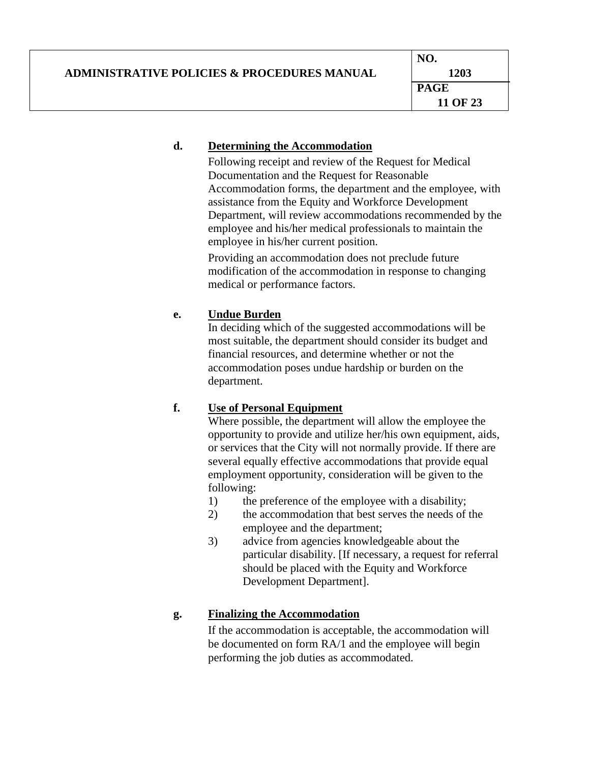# **d. Determining the Accommodation**

Following receipt and review of the Request for Medical Documentation and the Request for Reasonable Accommodation forms, the department and the employee, with assistance from the Equity and Workforce Development Department, will review accommodations recommended by the employee and his/her medical professionals to maintain the employee in his/her current position.

Providing an accommodation does not preclude future modification of the accommodation in response to changing medical or performance factors.

# **e. Undue Burden**

In deciding which of the suggested accommodations will be most suitable, the department should consider its budget and financial resources, and determine whether or not the accommodation poses undue hardship or burden on the department.

# **f. Use of Personal Equipment**

Where possible, the department will allow the employee the opportunity to provide and utilize her/his own equipment, aids, or services that the City will not normally provide. If there are several equally effective accommodations that provide equal employment opportunity, consideration will be given to the following:

- 1) the preference of the employee with a disability;
- 2) the accommodation that best serves the needs of the employee and the department;
- 3) advice from agencies knowledgeable about the particular disability. [If necessary, a request for referral should be placed with the Equity and Workforce Development Department].

# **g. Finalizing the Accommodation**

If the accommodation is acceptable, the accommodation will be documented on form RA/1 and the employee will begin performing the job duties as accommodated.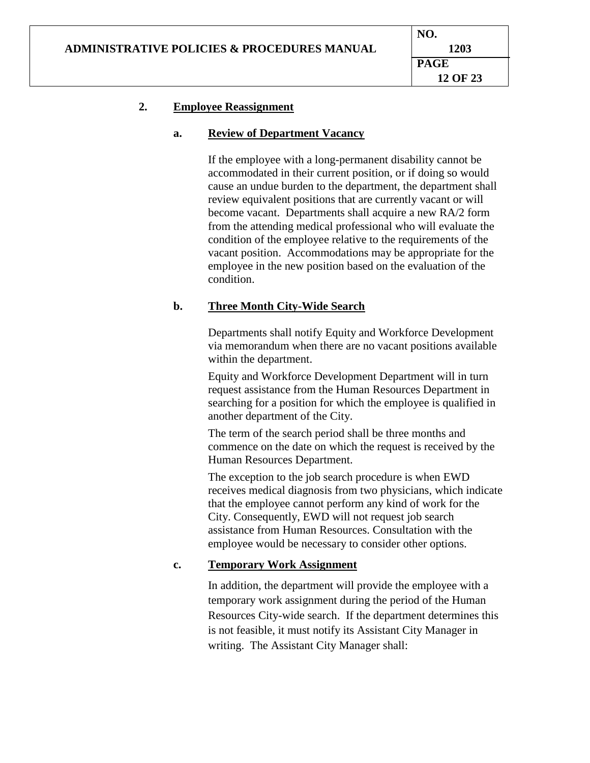### **2. Employee Reassignment**

### **a. Review of Department Vacancy**

If the employee with a long-permanent disability cannot be accommodated in their current position, or if doing so would cause an undue burden to the department, the department shall review equivalent positions that are currently vacant or will become vacant. Departments shall acquire a new RA/2 form from the attending medical professional who will evaluate the condition of the employee relative to the requirements of the vacant position. Accommodations may be appropriate for the employee in the new position based on the evaluation of the condition.

### **b. Three Month City-Wide Search**

Departments shall notify Equity and Workforce Development via memorandum when there are no vacant positions available within the department.

Equity and Workforce Development Department will in turn request assistance from the Human Resources Department in searching for a position for which the employee is qualified in another department of the City.

The term of the search period shall be three months and commence on the date on which the request is received by the Human Resources Department.

The exception to the job search procedure is when EWD receives medical diagnosis from two physicians, which indicate that the employee cannot perform any kind of work for the City. Consequently, EWD will not request job search assistance from Human Resources. Consultation with the employee would be necessary to consider other options.

### **c. Temporary Work Assignment**

In addition, the department will provide the employee with a temporary work assignment during the period of the Human Resources City-wide search. If the department determines this is not feasible, it must notify its Assistant City Manager in writing. The Assistant City Manager shall: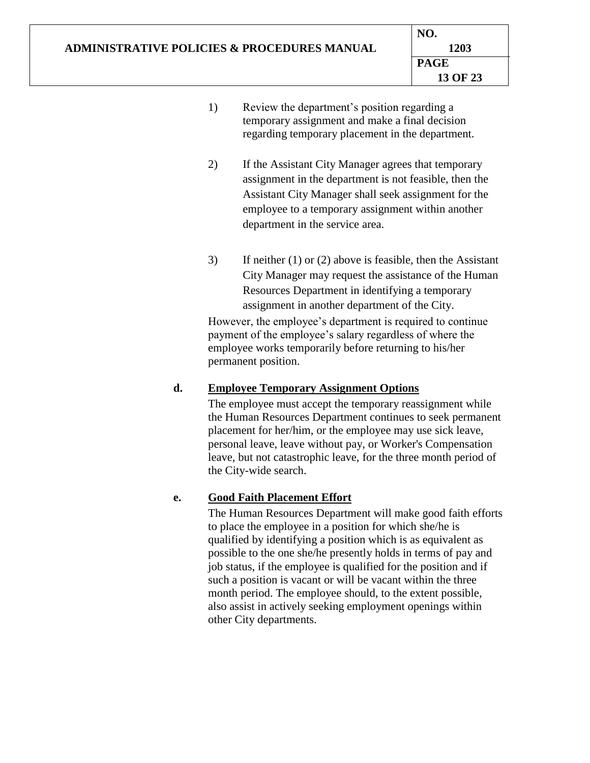- 1) Review the department's position regarding a temporary assignment and make a final decision regarding temporary placement in the department.
- 2) If the Assistant City Manager agrees that temporary assignment in the department is not feasible, then the Assistant City Manager shall seek assignment for the employee to a temporary assignment within another department in the service area.
- 3) If neither (1) or (2) above is feasible, then the Assistant City Manager may request the assistance of the Human Resources Department in identifying a temporary assignment in another department of the City.

However, the employee's department is required to continue payment of the employee's salary regardless of where the employee works temporarily before returning to his/her permanent position.

# **d. Employee Temporary Assignment Options**

The employee must accept the temporary reassignment while the Human Resources Department continues to seek permanent placement for her/him, or the employee may use sick leave, personal leave, leave without pay, or Worker's Compensation leave, but not catastrophic leave, for the three month period of the City-wide search.

# **e. Good Faith Placement Effort**

The Human Resources Department will make good faith efforts to place the employee in a position for which she/he is qualified by identifying a position which is as equivalent as possible to the one she/he presently holds in terms of pay and job status, if the employee is qualified for the position and if such a position is vacant or will be vacant within the three month period. The employee should, to the extent possible, also assist in actively seeking employment openings within other City departments.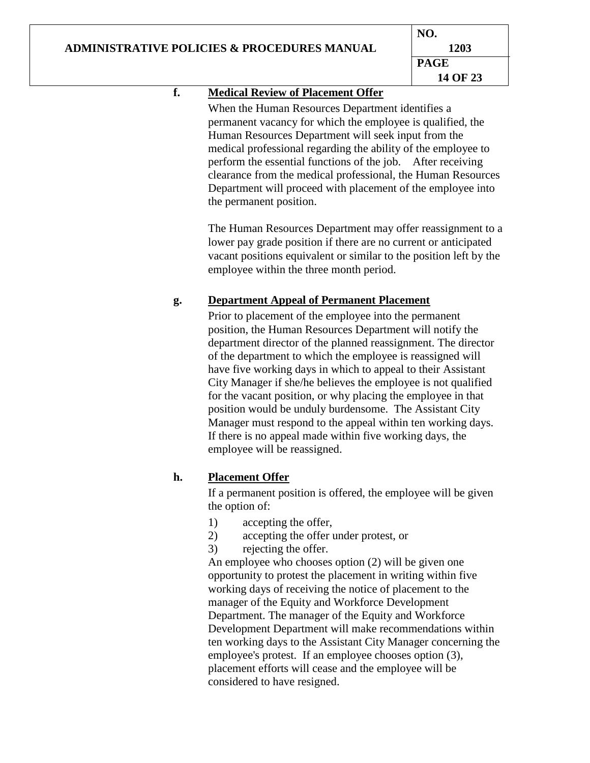# **ADMINISTRATIVE POLICIES & PROCEDURES MANUAL**

# **f. Medical Review of Placement Offer**

When the Human Resources Department identifies a permanent vacancy for which the employee is qualified, the Human Resources Department will seek input from the medical professional regarding the ability of the employee to perform the essential functions of the job. After receiving clearance from the medical professional, the Human Resources Department will proceed with placement of the employee into the permanent position.

The Human Resources Department may offer reassignment to a lower pay grade position if there are no current or anticipated vacant positions equivalent or similar to the position left by the employee within the three month period.

# **g. Department Appeal of Permanent Placement**

Prior to placement of the employee into the permanent position, the Human Resources Department will notify the department director of the planned reassignment. The director of the department to which the employee is reassigned will have five working days in which to appeal to their Assistant City Manager if she/he believes the employee is not qualified for the vacant position, or why placing the employee in that position would be unduly burdensome. The Assistant City Manager must respond to the appeal within ten working days. If there is no appeal made within five working days, the employee will be reassigned.

# **h. Placement Offer**

If a permanent position is offered, the employee will be given the option of:

- 1) accepting the offer,
- 2) accepting the offer under protest, or
- 3) rejecting the offer.

An employee who chooses option (2) will be given one opportunity to protest the placement in writing within five working days of receiving the notice of placement to the manager of the Equity and Workforce Development Department. The manager of the Equity and Workforce Development Department will make recommendations within ten working days to the Assistant City Manager concerning the employee's protest. If an employee chooses option (3), placement efforts will cease and the employee will be considered to have resigned.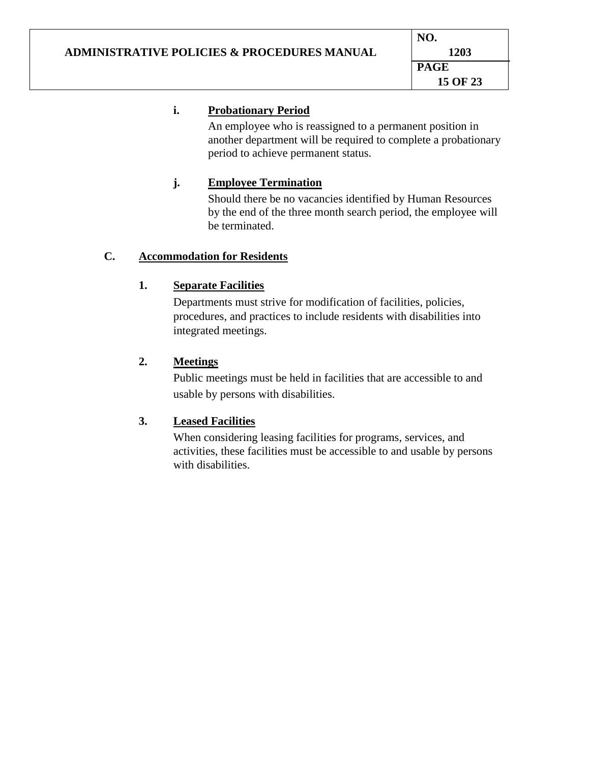# **i. Probationary Period**

An employee who is reassigned to a permanent position in another department will be required to complete a probationary period to achieve permanent status.

# **j. Employee Termination**

Should there be no vacancies identified by Human Resources by the end of the three month search period, the employee will be terminated.

# **C. Accommodation for Residents**

# **1. Separate Facilities**

Departments must strive for modification of facilities, policies, procedures, and practices to include residents with disabilities into integrated meetings.

# **2. Meetings**

Public meetings must be held in facilities that are accessible to and usable by persons with disabilities.

# **3. Leased Facilities**

When considering leasing facilities for programs, services, and activities, these facilities must be accessible to and usable by persons with disabilities.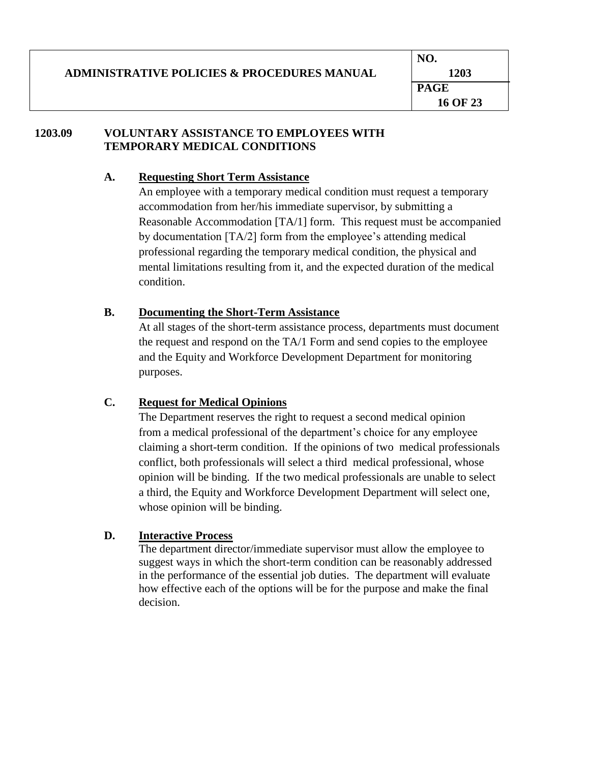#### **ADMINISTRATIVE POLICIES & PROCEDURES MANUAL NO. 1203 PAGE 16 OF 23**

### **1203.09 VOLUNTARY ASSISTANCE TO EMPLOYEES WITH TEMPORARY MEDICAL CONDITIONS**

### **A. Requesting Short Term Assistance**

An employee with a temporary medical condition must request a temporary accommodation from her/his immediate supervisor, by submitting a Reasonable Accommodation [TA/1] form. This request must be accompanied by documentation [TA/2] form from the employee's attending medical professional regarding the temporary medical condition, the physical and mental limitations resulting from it, and the expected duration of the medical condition.

# **B. Documenting the Short-Term Assistance**

At all stages of the short-term assistance process, departments must document the request and respond on the TA/1 Form and send copies to the employee and the Equity and Workforce Development Department for monitoring purposes.

# **C. Request for Medical Opinions**

The Department reserves the right to request a second medical opinion from a medical professional of the department's choice for any employee claiming a short-term condition. If the opinions of two medical professionals conflict, both professionals will select a third medical professional, whose opinion will be binding. If the two medical professionals are unable to select a third, the Equity and Workforce Development Department will select one, whose opinion will be binding.

# **D. Interactive Process**

The department director/immediate supervisor must allow the employee to suggest ways in which the short-term condition can be reasonably addressed in the performance of the essential job duties. The department will evaluate how effective each of the options will be for the purpose and make the final decision.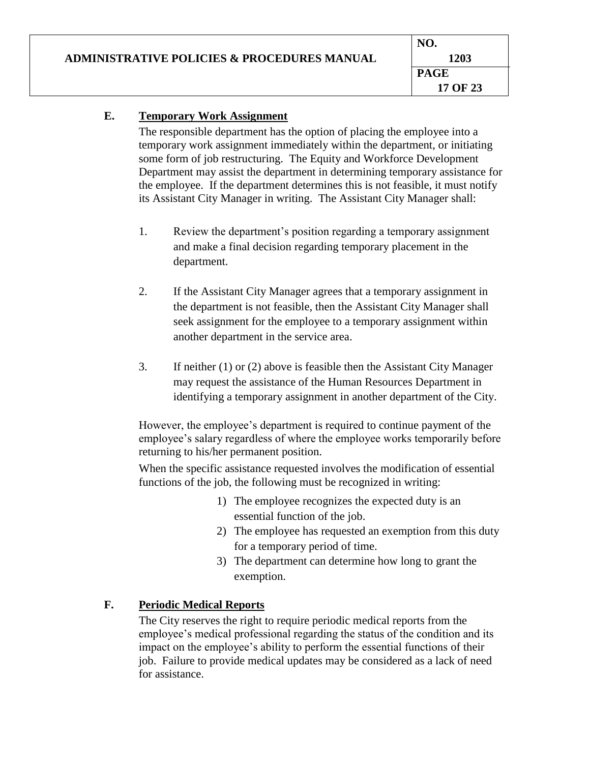# **E. Temporary Work Assignment**

The responsible department has the option of placing the employee into a temporary work assignment immediately within the department, or initiating some form of job restructuring. The Equity and Workforce Development Department may assist the department in determining temporary assistance for the employee. If the department determines this is not feasible, it must notify its Assistant City Manager in writing. The Assistant City Manager shall:

- 1. Review the department's position regarding a temporary assignment and make a final decision regarding temporary placement in the department.
- 2. If the Assistant City Manager agrees that a temporary assignment in the department is not feasible, then the Assistant City Manager shall seek assignment for the employee to a temporary assignment within another department in the service area.
- 3. If neither (1) or (2) above is feasible then the Assistant City Manager may request the assistance of the Human Resources Department in identifying a temporary assignment in another department of the City.

However, the employee's department is required to continue payment of the employee's salary regardless of where the employee works temporarily before returning to his/her permanent position.

When the specific assistance requested involves the modification of essential functions of the job, the following must be recognized in writing:

- 1) The employee recognizes the expected duty is an essential function of the job.
- 2) The employee has requested an exemption from this duty for a temporary period of time.
- 3) The department can determine how long to grant the exemption.

# **F. Periodic Medical Reports**

The City reserves the right to require periodic medical reports from the employee's medical professional regarding the status of the condition and its impact on the employee's ability to perform the essential functions of their job. Failure to provide medical updates may be considered as a lack of need for assistance.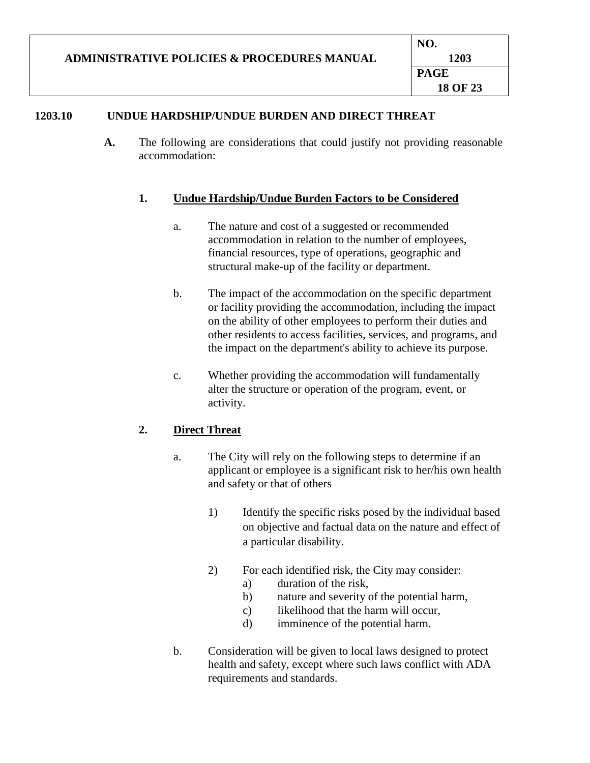# **1203.10 UNDUE HARDSHIP/UNDUE BURDEN AND DIRECT THREAT**

**A.** The following are considerations that could justify not providing reasonable accommodation:

## **1. Undue Hardship/Undue Burden Factors to be Considered**

- a. The nature and cost of a suggested or recommended accommodation in relation to the number of employees, financial resources, type of operations, geographic and structural make-up of the facility or department.
- b. The impact of the accommodation on the specific department or facility providing the accommodation, including the impact on the ability of other employees to perform their duties and other residents to access facilities, services, and programs, and the impact on the department's ability to achieve its purpose.
- c. Whether providing the accommodation will fundamentally alter the structure or operation of the program, event, or activity.

## **2. Direct Threat**

- a. The City will rely on the following steps to determine if an applicant or employee is a significant risk to her/his own health and safety or that of others
	- 1) Identify the specific risks posed by the individual based on objective and factual data on the nature and effect of a particular disability.
	- 2) For each identified risk, the City may consider:
		- a) duration of the risk,
		- b) nature and severity of the potential harm,
		- c) likelihood that the harm will occur,
		- d) imminence of the potential harm.
- b. Consideration will be given to local laws designed to protect health and safety, except where such laws conflict with ADA requirements and standards.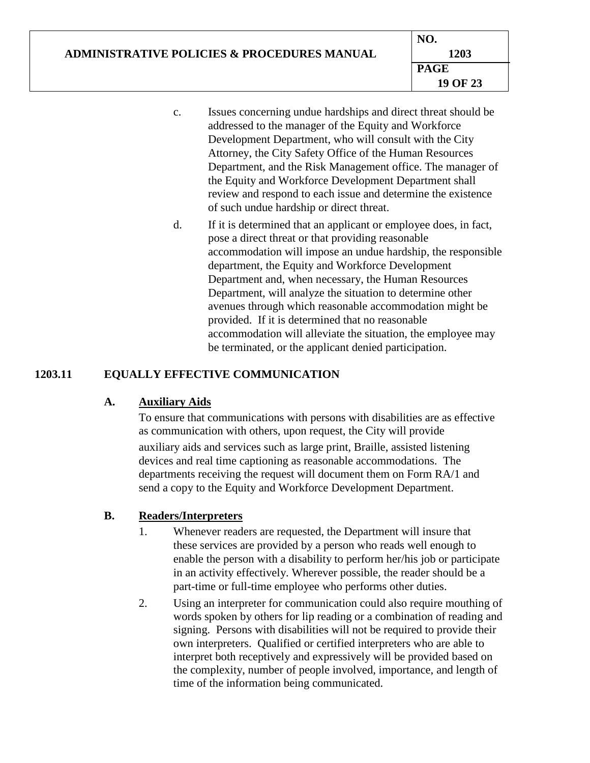|                                                        | NO.         |
|--------------------------------------------------------|-------------|
| <b>ADMINISTRATIVE POLICIES &amp; PROCEDURES MANUAL</b> | 1203        |
|                                                        | <b>PAGE</b> |
|                                                        | 19 OF 23    |

- c. Issues concerning undue hardships and direct threat should be addressed to the manager of the Equity and Workforce Development Department, who will consult with the City Attorney, the City Safety Office of the Human Resources Department, and the Risk Management office. The manager of the Equity and Workforce Development Department shall review and respond to each issue and determine the existence of such undue hardship or direct threat.
- d. If it is determined that an applicant or employee does, in fact, pose a direct threat or that providing reasonable accommodation will impose an undue hardship, the responsible department, the Equity and Workforce Development Department and, when necessary, the Human Resources Department, will analyze the situation to determine other avenues through which reasonable accommodation might be provided. If it is determined that no reasonable accommodation will alleviate the situation, the employee may be terminated, or the applicant denied participation.

# **1203.11 EQUALLY EFFECTIVE COMMUNICATION**

## **A. Auxiliary Aids**

To ensure that communications with persons with disabilities are as effective as communication with others, upon request, the City will provide auxiliary aids and services such as large print, Braille, assisted listening devices and real time captioning as reasonable accommodations. The departments receiving the request will document them on Form RA/1 and send a copy to the Equity and Workforce Development Department.

## **B. Readers/Interpreters**

- 1. Whenever readers are requested, the Department will insure that these services are provided by a person who reads well enough to enable the person with a disability to perform her/his job or participate in an activity effectively. Wherever possible, the reader should be a part-time or full-time employee who performs other duties.
- 2. Using an interpreter for communication could also require mouthing of words spoken by others for lip reading or a combination of reading and signing. Persons with disabilities will not be required to provide their own interpreters. Qualified or certified interpreters who are able to interpret both receptively and expressively will be provided based on the complexity, number of people involved, importance, and length of time of the information being communicated.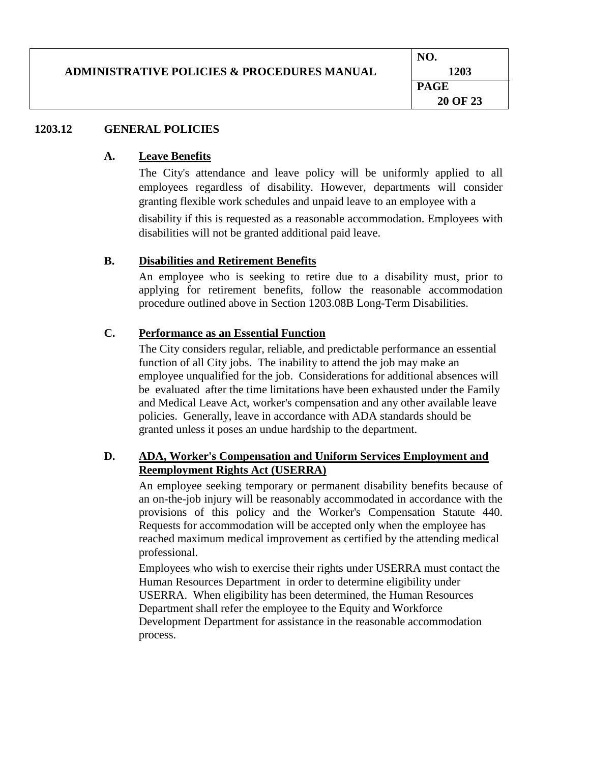|                                                        | NO.         |
|--------------------------------------------------------|-------------|
| <b>ADMINISTRATIVE POLICIES &amp; PROCEDURES MANUAL</b> | 1203        |
|                                                        | <b>PAGE</b> |
|                                                        | 20 OF 23    |

### **1203.12 GENERAL POLICIES**

### **A. Leave Benefits**

The City's attendance and leave policy will be uniformly applied to all employees regardless of disability. However, departments will consider granting flexible work schedules and unpaid leave to an employee with a

disability if this is requested as a reasonable accommodation. Employees with disabilities will not be granted additional paid leave.

### **B. Disabilities and Retirement Benefits**

An employee who is seeking to retire due to a disability must, prior to applying for retirement benefits, follow the reasonable accommodation procedure outlined above in Section 1203.08B Long-Term Disabilities.

## **C. Performance as an Essential Function**

The City considers regular, reliable, and predictable performance an essential function of all City jobs. The inability to attend the job may make an employee unqualified for the job. Considerations for additional absences will be evaluated after the time limitations have been exhausted under the Family and Medical Leave Act, worker's compensation and any other available leave policies. Generally, leave in accordance with ADA standards should be granted unless it poses an undue hardship to the department.

## **D. ADA, Worker's Compensation and Uniform Services Employment and Reemployment Rights Act (USERRA)**

An employee seeking temporary or permanent disability benefits because of an on-the-job injury will be reasonably accommodated in accordance with the provisions of this policy and the Worker's Compensation Statute 440. Requests for accommodation will be accepted only when the employee has reached maximum medical improvement as certified by the attending medical professional.

Employees who wish to exercise their rights under USERRA must contact the Human Resources Department in order to determine eligibility under USERRA. When eligibility has been determined, the Human Resources Department shall refer the employee to the Equity and Workforce Development Department for assistance in the reasonable accommodation process.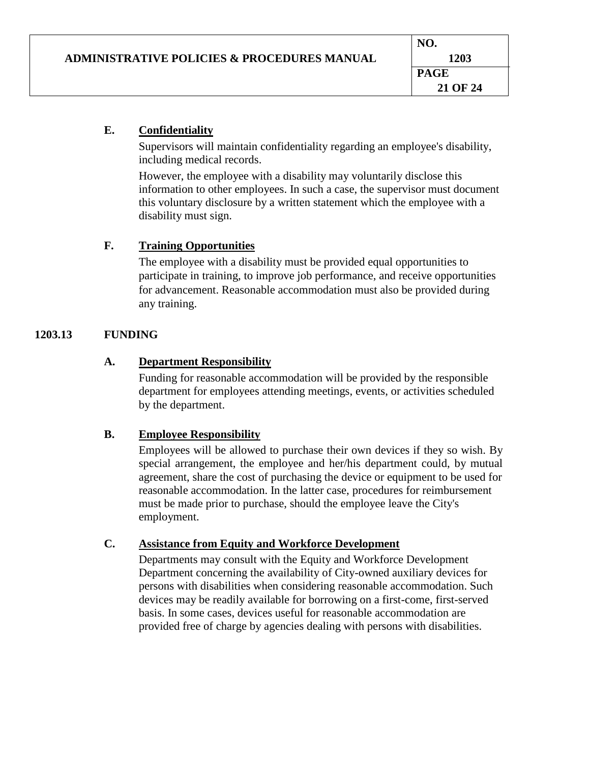## **E. Confidentiality**

Supervisors will maintain confidentiality regarding an employee's disability, including medical records.

However, the employee with a disability may voluntarily disclose this information to other employees. In such a case, the supervisor must document this voluntary disclosure by a written statement which the employee with a disability must sign.

## **F. Training Opportunities**

The employee with a disability must be provided equal opportunities to participate in training, to improve job performance, and receive opportunities for advancement. Reasonable accommodation must also be provided during any training.

# **1203.13 FUNDING**

## **A. Department Responsibility**

Funding for reasonable accommodation will be provided by the responsible department for employees attending meetings, events, or activities scheduled by the department.

## **B. Employee Responsibility**

Employees will be allowed to purchase their own devices if they so wish. By special arrangement, the employee and her/his department could, by mutual agreement, share the cost of purchasing the device or equipment to be used for reasonable accommodation. In the latter case, procedures for reimbursement must be made prior to purchase, should the employee leave the City's employment.

## **C. Assistance from Equity and Workforce Development**

Departments may consult with the Equity and Workforce Development Department concerning the availability of City-owned auxiliary devices for persons with disabilities when considering reasonable accommodation. Such devices may be readily available for borrowing on a first-come, first-served basis. In some cases, devices useful for reasonable accommodation are provided free of charge by agencies dealing with persons with disabilities.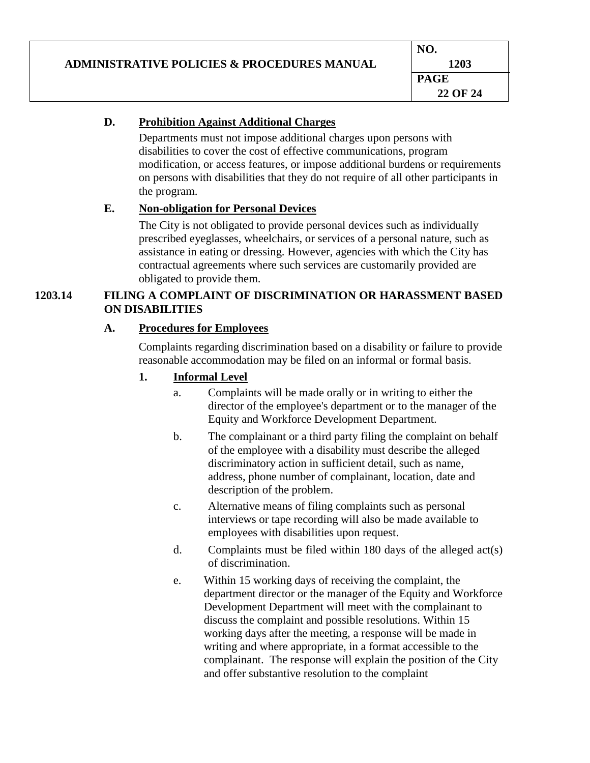|                                                        | NO.         |
|--------------------------------------------------------|-------------|
| <b>ADMINISTRATIVE POLICIES &amp; PROCEDURES MANUAL</b> | 1203        |
|                                                        | <b>PAGE</b> |
|                                                        | 22 OF 24    |
|                                                        |             |

# **D. Prohibition Against Additional Charges**

Departments must not impose additional charges upon persons with disabilities to cover the cost of effective communications, program modification, or access features, or impose additional burdens or requirements on persons with disabilities that they do not require of all other participants in the program.

## **E. Non-obligation for Personal Devices**

The City is not obligated to provide personal devices such as individually prescribed eyeglasses, wheelchairs, or services of a personal nature, such as assistance in eating or dressing. However, agencies with which the City has contractual agreements where such services are customarily provided are obligated to provide them.

# **1203.14 FILING A COMPLAINT OF DISCRIMINATION OR HARASSMENT BASED ON DISABILITIES**

# **A. Procedures for Employees**

Complaints regarding discrimination based on a disability or failure to provide reasonable accommodation may be filed on an informal or formal basis.

# **1. Informal Level**

- a. Complaints will be made orally or in writing to either the director of the employee's department or to the manager of the Equity and Workforce Development Department.
- b. The complainant or a third party filing the complaint on behalf of the employee with a disability must describe the alleged discriminatory action in sufficient detail, such as name, address, phone number of complainant, location, date and description of the problem.
- c. Alternative means of filing complaints such as personal interviews or tape recording will also be made available to employees with disabilities upon request.
- d. Complaints must be filed within 180 days of the alleged act(s) of discrimination.
- e. Within 15 working days of receiving the complaint, the department director or the manager of the Equity and Workforce Development Department will meet with the complainant to discuss the complaint and possible resolutions. Within 15 working days after the meeting, a response will be made in writing and where appropriate, in a format accessible to the complainant. The response will explain the position of the City and offer substantive resolution to the complaint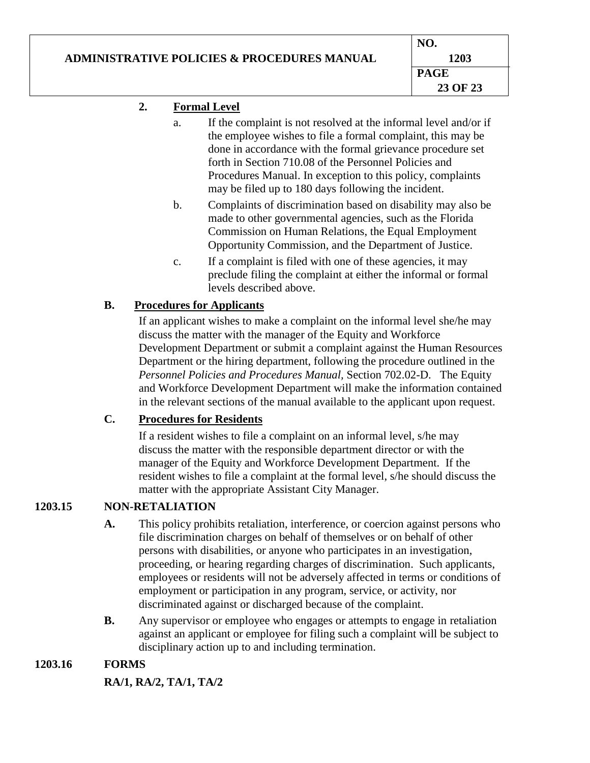# **ADMINISTRATIVE POLICIES & PROCEDURES MANUAL**

# **2. Formal Level**

- a. If the complaint is not resolved at the informal level and/or if the employee wishes to file a formal complaint, this may be done in accordance with the formal grievance procedure set forth in Section 710.08 of the Personnel Policies and Procedures Manual. In exception to this policy, complaints may be filed up to 180 days following the incident.
- b. Complaints of discrimination based on disability may also be made to other governmental agencies, such as the Florida Commission on Human Relations, the Equal Employment Opportunity Commission, and the Department of Justice.
- c. If a complaint is filed with one of these agencies, it may preclude filing the complaint at either the informal or formal levels described above.

# **B. Procedures for Applicants**

If an applicant wishes to make a complaint on the informal level she/he may discuss the matter with the manager of the Equity and Workforce Development Department or submit a complaint against the Human Resources Department or the hiring department, following the procedure outlined in the *Personnel Policies and Procedures Manual,* Section 702.02-D. The Equity and Workforce Development Department will make the information contained in the relevant sections of the manual available to the applicant upon request.

## **C. Procedures for Residents**

If a resident wishes to file a complaint on an informal level, s/he may discuss the matter with the responsible department director or with the manager of the Equity and Workforce Development Department. If the resident wishes to file a complaint at the formal level, s/he should discuss the matter with the appropriate Assistant City Manager.

# **1203.15 NON-RETALIATION**

- **A.** This policy prohibits retaliation, interference, or coercion against persons who file discrimination charges on behalf of themselves or on behalf of other persons with disabilities, or anyone who participates in an investigation, proceeding, or hearing regarding charges of discrimination. Such applicants, employees or residents will not be adversely affected in terms or conditions of employment or participation in any program, service, or activity, nor discriminated against or discharged because of the complaint.
- **B.** Any supervisor or employee who engages or attempts to engage in retaliation against an applicant or employee for filing such a complaint will be subject to disciplinary action up to and including termination.

# **1203.16 FORMS**

## **RA/1, RA/2, TA/1, TA/2**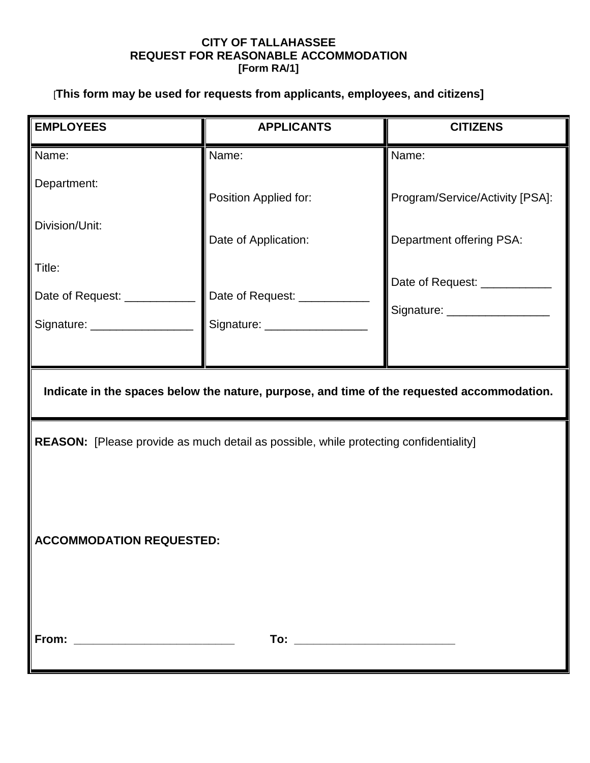# **CITY OF TALLAHASSEE REQUEST FOR REASONABLE ACCOMMODATION [Form RA/1]**

# [**This form may be used for requests from applicants, employees, and citizens]**

| <b>EMPLOYEES</b>                                                                           | <b>APPLICANTS</b>                                                                     | <b>CITIZENS</b>                 |
|--------------------------------------------------------------------------------------------|---------------------------------------------------------------------------------------|---------------------------------|
| Name:                                                                                      | Name:                                                                                 | Name:                           |
| Department:                                                                                | Position Applied for:                                                                 | Program/Service/Activity [PSA]: |
| Division/Unit:                                                                             | Date of Application:                                                                  | Department offering PSA:        |
| Title:                                                                                     |                                                                                       | Date of Request: ___________    |
| Date of Request: ____________                                                              | Date of Request: __________                                                           | Signature: ___________________  |
| Signature: _________________                                                               | Signature: __________________                                                         |                                 |
|                                                                                            |                                                                                       |                                 |
| Indicate in the spaces below the nature, purpose, and time of the requested accommodation. |                                                                                       |                                 |
|                                                                                            | REASON: [Please provide as much detail as possible, while protecting confidentiality] |                                 |
|                                                                                            |                                                                                       |                                 |
| <b>ACCOMMODATION REQUESTED:</b>                                                            |                                                                                       |                                 |
|                                                                                            |                                                                                       |                                 |
|                                                                                            |                                                                                       |                                 |
|                                                                                            |                                                                                       |                                 |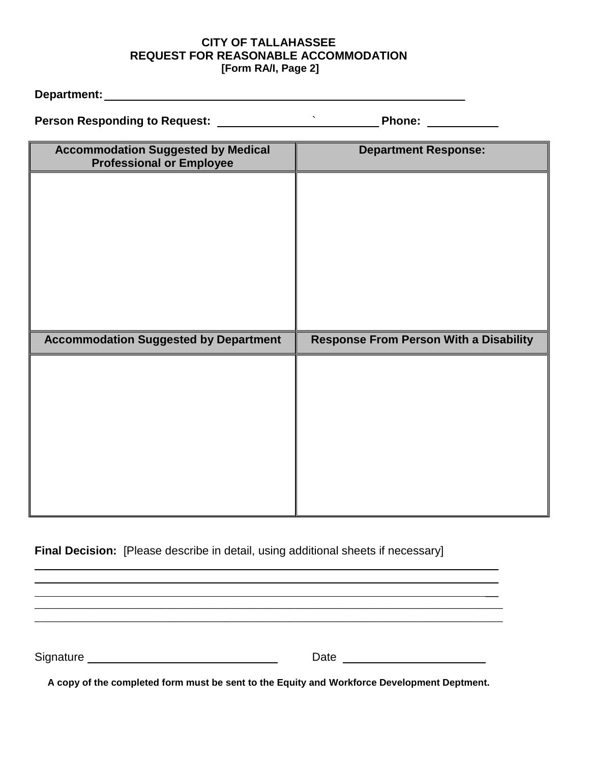### **CITY OF TALLAHASSEE REQUEST FOR REASONABLE ACCOMMODATION [Form RA/I, Page 2]**

**Department:** \_\_\_\_\_\_\_\_\_\_\_\_\_

**Person Responding to Request:** ` \_\_\_\_\_ **Phone:** \_\_

| <b>Accommodation Suggested by Medical</b><br><b>Professional or Employee</b> | <b>Department Response:</b>                   |
|------------------------------------------------------------------------------|-----------------------------------------------|
|                                                                              |                                               |
|                                                                              |                                               |
|                                                                              |                                               |
|                                                                              |                                               |
|                                                                              |                                               |
|                                                                              |                                               |
| <b>Accommodation Suggested by Department</b>                                 | <b>Response From Person With a Disability</b> |
|                                                                              |                                               |
|                                                                              |                                               |
|                                                                              |                                               |
|                                                                              |                                               |
|                                                                              |                                               |
|                                                                              |                                               |
|                                                                              |                                               |

# **Final Decision:** [Please describe in detail, using additional sheets if necessary]

Signature Date Date Date

 $\overline{\phantom{a}}$  $\overline{\phantom{a}}$  $\overline{\phantom{a}}$ 

**A copy of the completed form must be sent to the Equity and Workforce Development Deptment.**

\_\_\_\_\_\_\_\_\_\_\_\_\_\_\_\_\_\_\_\_\_\_\_\_\_\_\_\_\_\_\_\_\_\_\_\_\_\_\_\_\_\_\_\_\_\_\_\_\_\_\_\_\_\_\_\_\_\_\_\_\_\_\_\_\_\_\_\_\_\_\_\_\_\_\_\_\_\_\_\_\_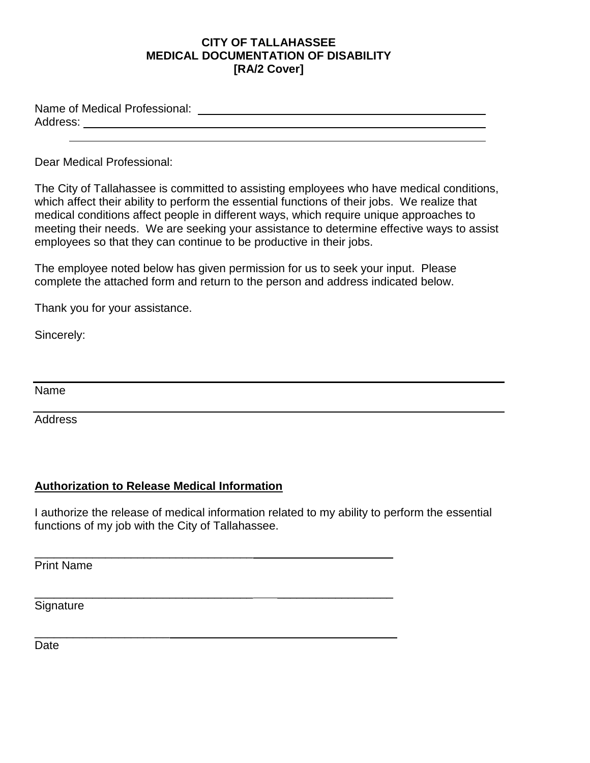## **CITY OF TALLAHASSEE MEDICAL DOCUMENTATION OF DISABILITY [RA/2 Cover]**

Name of Medical Professional: Address: \_\_\_\_\_\_\_\_\_\_\_\_\_\_\_\_\_\_\_\_\_\_\_

Dear Medical Professional:

 $\overline{a}$ 

The City of Tallahassee is committed to assisting employees who have medical conditions, which affect their ability to perform the essential functions of their jobs. We realize that medical conditions affect people in different ways, which require unique approaches to meeting their needs. We are seeking your assistance to determine effective ways to assist employees so that they can continue to be productive in their jobs.

The employee noted below has given permission for us to seek your input. Please complete the attached form and return to the person and address indicated below.

Thank you for your assistance.

Sincerely:

Name

Address

## **Authorization to Release Medical Information**

I authorize the release of medical information related to my ability to perform the essential functions of my job with the City of Tallahassee.

\_\_\_\_\_\_\_\_\_\_\_\_\_\_\_\_\_\_\_\_\_\_\_\_\_\_\_\_\_\_\_\_\_\_ \_\_\_\_\_\_\_\_\_\_\_\_\_\_\_\_\_\_

\_\_\_\_\_\_\_\_\_\_\_\_\_\_\_\_\_\_\_\_\_\_\_\_\_\_\_\_\_\_\_\_\_\_ \_\_\_\_\_\_\_\_\_\_\_\_\_\_\_\_\_\_

\_\_\_\_\_\_\_\_\_\_\_\_\_\_\_\_\_\_\_\_\_ \_\_\_\_\_\_\_\_\_\_\_\_\_\_\_\_\_\_\_\_\_\_\_\_

Print Name

**Signature** 

Date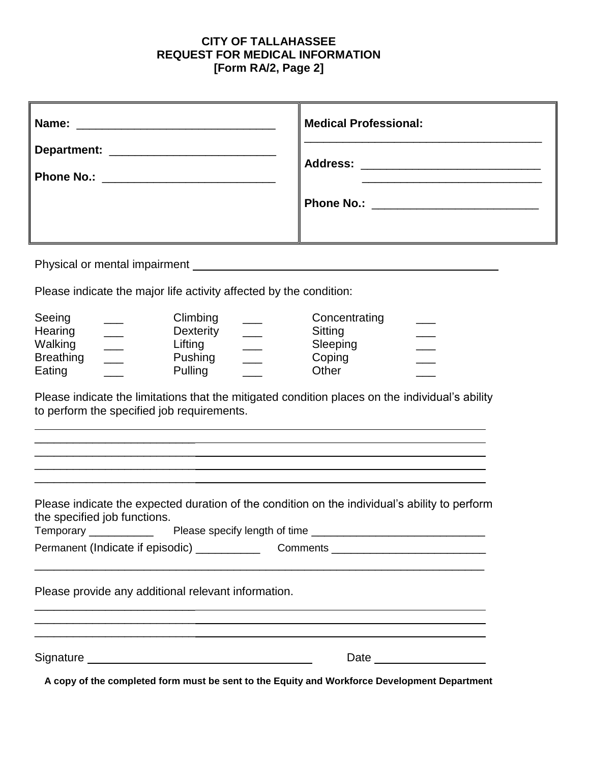# **CITY OF TALLAHASSEE REQUEST FOR MEDICAL INFORMATION [Form RA/2, Page 2]**

|                                                                                                                                                                                                                                                                                                                                                      | <b>Medical Professional:</b>                                                                                                                                     |
|------------------------------------------------------------------------------------------------------------------------------------------------------------------------------------------------------------------------------------------------------------------------------------------------------------------------------------------------------|------------------------------------------------------------------------------------------------------------------------------------------------------------------|
|                                                                                                                                                                                                                                                                                                                                                      | Address: _______________________________<br><u> 1989 - Johann Stein, mars an deutscher Stein und der Stein und der Stein und der Stein und der Stein und der</u> |
|                                                                                                                                                                                                                                                                                                                                                      |                                                                                                                                                                  |
| Physical or mental impairment example and the state of the state of the state of the state of the state of the<br>Please indicate the major life activity affected by the condition:                                                                                                                                                                 |                                                                                                                                                                  |
| Seeing<br>Climbing<br>Dexterity<br>Hearing<br>$\frac{1}{1}$<br>Walking<br>$\frac{1}{1}$<br>Lifting<br>$\frac{1}{1}$<br><b>Breathing</b><br>Pushing<br>$\overline{\phantom{a}}$<br>Pulling<br>Eating<br>Please indicate the limitations that the mitigated condition places on the individual's ability<br>to perform the specified job requirements. | Concentrating<br>Sitting<br>Sleeping<br>Coping<br>Other                                                                                                          |
|                                                                                                                                                                                                                                                                                                                                                      |                                                                                                                                                                  |
| Please indicate the expected duration of the condition on the individual's ability to perform<br>the specified job functions.<br>Please specify length of time<br>Temporary                                                                                                                                                                          |                                                                                                                                                                  |
|                                                                                                                                                                                                                                                                                                                                                      |                                                                                                                                                                  |
| Please provide any additional relevant information.                                                                                                                                                                                                                                                                                                  |                                                                                                                                                                  |
| A copy of the completed form must be sent to the Equity and Workforce Development Department                                                                                                                                                                                                                                                         |                                                                                                                                                                  |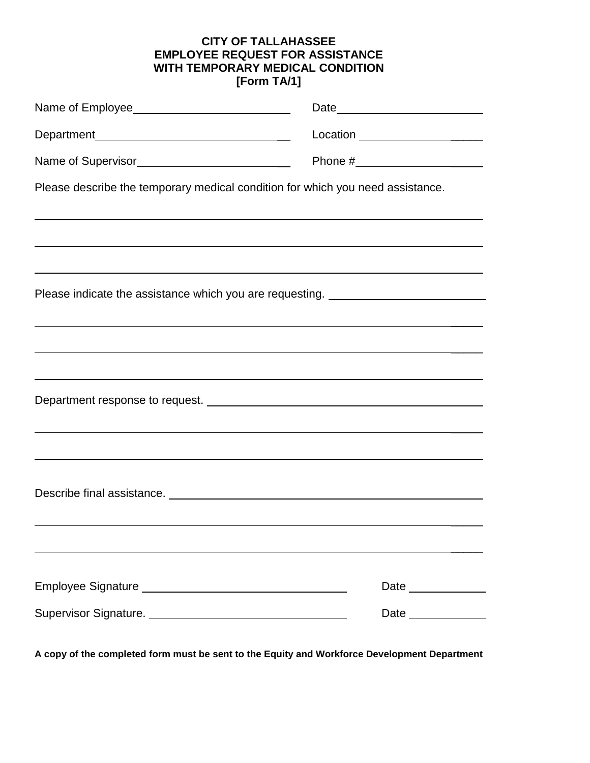# **CITY OF TALLAHASSEE EMPLOYEE REQUEST FOR ASSISTANCE WITH TEMPORARY MEDICAL CONDITION [Form TA/1]**

|                                                                                                                                                                                                                                      | Location _____________________                                                   |
|--------------------------------------------------------------------------------------------------------------------------------------------------------------------------------------------------------------------------------------|----------------------------------------------------------------------------------|
|                                                                                                                                                                                                                                      |                                                                                  |
| Please describe the temporary medical condition for which you need assistance.                                                                                                                                                       |                                                                                  |
|                                                                                                                                                                                                                                      |                                                                                  |
| ,我们也不会有什么。""我们的人,我们也不会有什么?""我们的人,我们也不会有什么?""我们的人,我们也不会有什么?""我们的人,我们也不会有什么?""我们的人                                                                                                                                                     | <u> 1989 - Johann Stoff, amerikansk politiker (d. 1989)</u>                      |
|                                                                                                                                                                                                                                      | Please indicate the assistance which you are requesting. _______________________ |
|                                                                                                                                                                                                                                      |                                                                                  |
|                                                                                                                                                                                                                                      |                                                                                  |
|                                                                                                                                                                                                                                      | <u> 1989 - Jan Salaman Salaman (j. 1989)</u>                                     |
|                                                                                                                                                                                                                                      |                                                                                  |
|                                                                                                                                                                                                                                      |                                                                                  |
|                                                                                                                                                                                                                                      |                                                                                  |
| Describe final assistance. <u>Contract and the set of the set of the set of the set of the set of the set of the set of the set of the set of the set of the set of the set of the set of the set of the set of the set of the s</u> |                                                                                  |
|                                                                                                                                                                                                                                      |                                                                                  |
|                                                                                                                                                                                                                                      |                                                                                  |
|                                                                                                                                                                                                                                      | Date ______________                                                              |
|                                                                                                                                                                                                                                      | Date                                                                             |

**A copy of the completed form must be sent to the Equity and Workforce Development Department**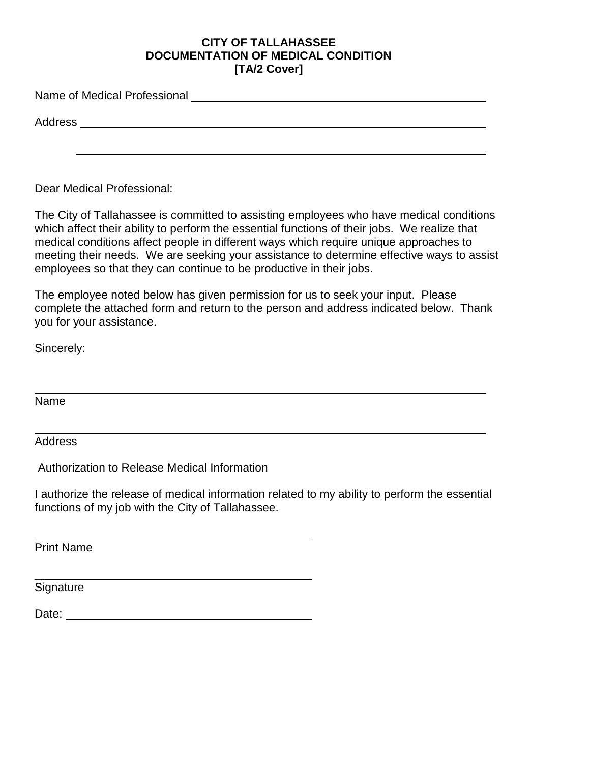### **CITY OF TALLAHASSEE DOCUMENTATION OF MEDICAL CONDITION [TA/2 Cover]**

Name of Medical Professional

Address

Dear Medical Professional:

The City of Tallahassee is committed to assisting employees who have medical conditions which affect their ability to perform the essential functions of their jobs. We realize that medical conditions affect people in different ways which require unique approaches to meeting their needs. We are seeking your assistance to determine effective ways to assist employees so that they can continue to be productive in their jobs.

The employee noted below has given permission for us to seek your input. Please complete the attached form and return to the person and address indicated below. Thank you for your assistance.

Sincerely:

Name

**Address** 

Authorization to Release Medical Information

I authorize the release of medical information related to my ability to perform the essential functions of my job with the City of Tallahassee.

Print Name

Signature

\_

Date: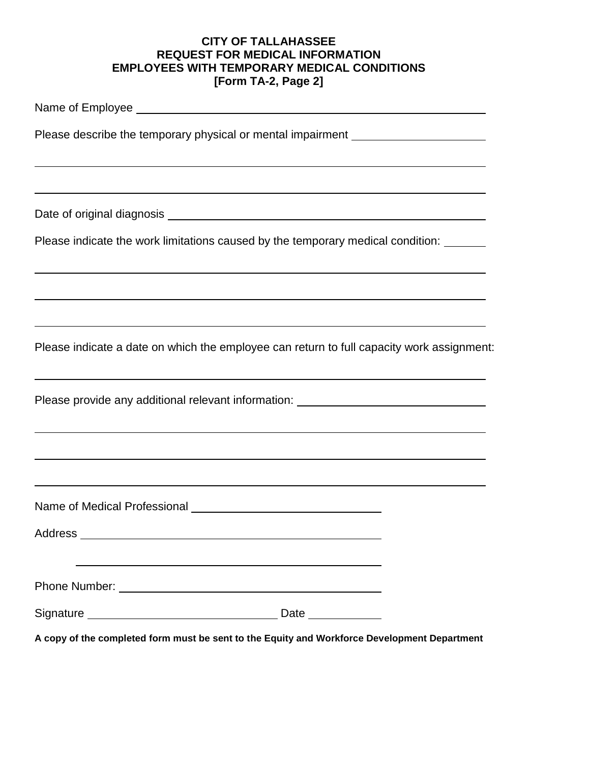# **CITY OF TALLAHASSEE REQUEST FOR MEDICAL INFORMATION EMPLOYEES WITH TEMPORARY MEDICAL CONDITIONS [Form TA-2, Page 2]**

| Please describe the temporary physical or mental impairment ____________________                                                                |  |
|-------------------------------------------------------------------------------------------------------------------------------------------------|--|
| ,我们也不能会有一个人的事情。""我们的人们是不是我们的人,我们也不能会有一个人的人,我们也不能会有一个人的人,我们也不能会有一个人的人,我们也不能会有一个人的人                                                               |  |
|                                                                                                                                                 |  |
|                                                                                                                                                 |  |
| Please indicate the work limitations caused by the temporary medical condition: ______                                                          |  |
| ,我们也不会有一个人的人,我们也不会有一个人的人,我们也不会有一个人的人,我们也不会有一个人的人,我们也不会有一个人的人。""我们的人,我们也不会有一个人的人,我                                                               |  |
| ,我们也不会有什么。""我们的人,我们也不会有什么?""我们的人,我们也不会有什么?""我们的人,我们也不会有什么?""我们的人,我们也不会有什么?""我们的人                                                                |  |
| Please indicate a date on which the employee can return to full capacity work assignment:                                                       |  |
| <u> 1989 - Johann Stoff, amerikansk politiker (d. 1989)</u><br>Please provide any additional relevant information: ____________________________ |  |
| ,我们也不会有什么。""我们的人,我们也不会有什么?""我们的人,我们也不会有什么?""我们的人,我们也不会有什么?""我们的人,我们也不会有什么?""我们的人                                                                |  |
| ,我们也不会有什么。""我们的人,我们也不会有什么?""我们的人,我们也不会有什么?""我们的人,我们也不会有什么?""我们的人,我们也不会有什么?""我们的人                                                                |  |
|                                                                                                                                                 |  |
| Address                                                                                                                                         |  |
|                                                                                                                                                 |  |
|                                                                                                                                                 |  |
| Date ___________                                                                                                                                |  |

**A copy of the completed form must be sent to the Equity and Workforce Development Department**